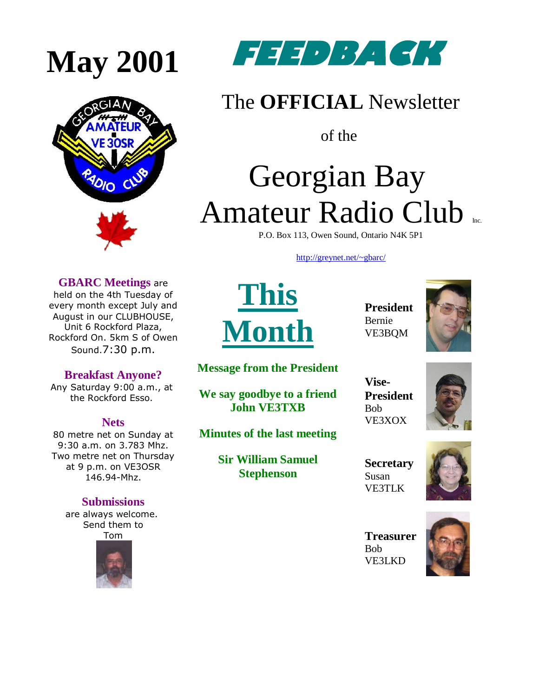

**GBARC Meetings** are held on the 4th Tuesday of every month except July and August in our CLUBHOUSE, Unit 6 Rockford Plaza, Rockford On. 5km S of Owen Sound.7:30 p.m.

**Breakfast Anyone?** Any Saturday 9:00 a.m., at the Rockford Esso.

**Nets** 80 metre net on Sunday at 9:30 a.m. on 3.783 Mhz. Two metre net on Thursday at 9 p.m. on VE3OSR 146.94-Mhz.



### The **OFFICIAL** Newsletter

of the

# Georgian Bay Amateur Radio Club

P.O. Box 113, Owen Sound, Ontario N4K 5P1

[http://greynet.net/~gbarc/](http://greynet.net/~gbarc)

**This Month**

**President** Bernie VE3BQM



**Message from the President**

**We say goodbye to a friend John VE3TXB**

**Minutes of the last meeting**

**Vise-President** Bob VE3XOX



**Secretary** Susan VE3TLK



**Treasurer** Bob [VE3LKD](mailto:droines@bmts.com)





**Sir William Samuel Stephenson**

**Submissions** are always welcome.

Send them to Tom

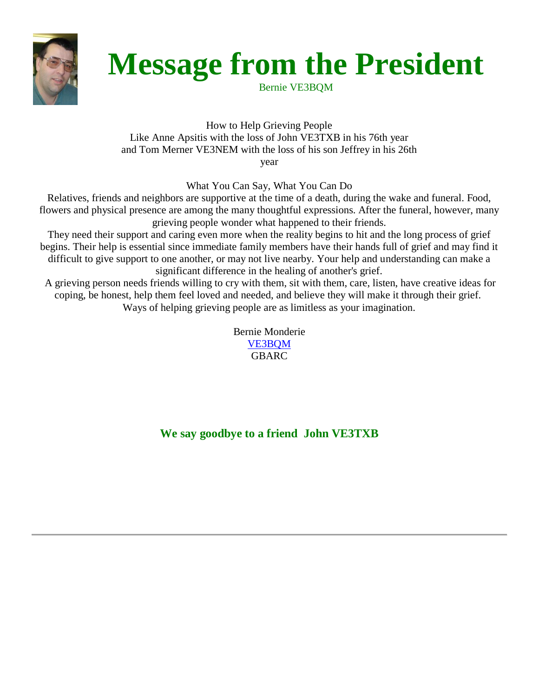

## **Message from the President**

Bernie VE3BQM

How to Help Grieving People Like Anne Apsitis with the loss of John VE3TXB in his 76th year and Tom Merner VE3NEM with the loss of his son Jeffrey in his 26th year

What You Can Say, What You Can Do

Relatives, friends and neighbors are supportive at the time of a death, during the wake and funeral. Food, flowers and physical presence are among the many thoughtful expressions. After the funeral, however, many grieving people wonder what happened to their friends.

They need their support and caring even more when the reality begins to hit and the long process of grief begins. Their help is essential since immediate family members have their hands full of grief and may find it difficult to give support to one another, or may not live nearby. Your help and understanding can make a significant difference in the healing of another's grief.

A grieving person needs friends willing to cry with them, sit with them, care, listen, have creative ideas for coping, be honest, help them feel loved and needed, and believe they will make it through their grief. Ways of helping grieving people are as limitless as your imagination.

> Bernie Monderie [VE3BQM](mailto:LSR25@opac.on.ca) GBARC

**We say goodbye to a friend John VE3TXB**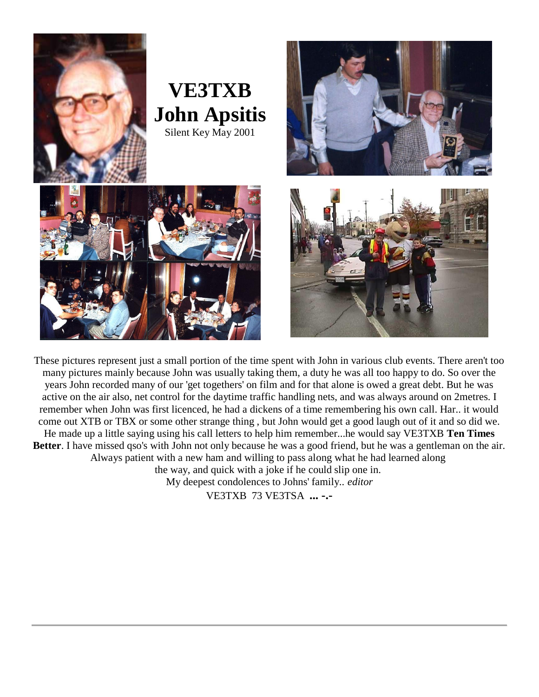

These pictures represent just a small portion of the time spent with John in various club events. There aren't too many pictures mainly because John was usually taking them, a duty he was all too happy to do. So over the years John recorded many of our 'get togethers' on film and for that alone is owed a great debt. But he was active on the air also, net control for the daytime traffic handling nets, and was always around on 2metres. I remember when John was first licenced, he had a dickens of a time remembering his own call. Har.. it would come out XTB or TBX or some other strange thing , but John would get a good laugh out of it and so did we. He made up a little saying using his call letters to help him remember...he would say VE3TXB **Ten Times Better**. I have missed qso's with John not only because he was a good friend, but he was a gentleman on the air. Always patient with a new ham and willing to pass along what he had learned along the way, and quick with a joke if he could slip one in. My deepest condolences to Johns' family.. *editor* VE3TXB 73 VE3TSA **... -.-**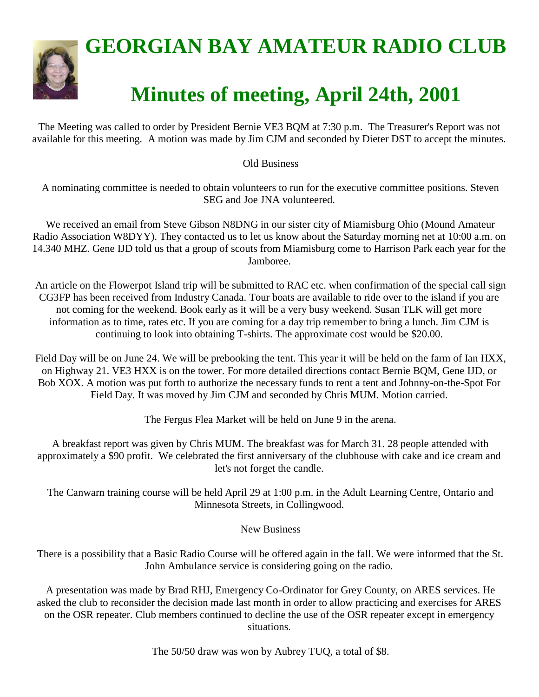

The Meeting was called to order by President Bernie VE3 BQM at 7:30 p.m. The Treasurer's Report was not available for this meeting. A motion was made by Jim CJM and seconded by Dieter DST to accept the minutes.

#### Old Business

A nominating committee is needed to obtain volunteers to run for the executive committee positions. Steven SEG and Joe JNA volunteered.

We received an email from Steve Gibson N8DNG in our sister city of Miamisburg Ohio (Mound Amateur Radio Association W8DYY). They contacted us to let us know about the Saturday morning net at 10:00 a.m. on 14.340 MHZ. Gene IJD told us that a group of scouts from Miamisburg come to Harrison Park each year for the Jamboree.

An article on the Flowerpot Island trip will be submitted to RAC etc. when confirmation of the special call sign CG3FP has been received from Industry Canada. Tour boats are available to ride over to the island if you are not coming for the weekend. Book early as it will be a very busy weekend. Susan TLK will get more information as to time, rates etc. If you are coming for a day trip remember to bring a lunch. Jim CJM is continuing to look into obtaining T-shirts. The approximate cost would be \$20.00.

Field Day will be on June 24. We will be prebooking the tent. This year it will be held on the farm of Ian HXX, on Highway 21. VE3 HXX is on the tower. For more detailed directions contact Bernie BQM, Gene IJD, or Bob XOX. A motion was put forth to authorize the necessary funds to rent a tent and Johnny-on-the-Spot For Field Day. It was moved by Jim CJM and seconded by Chris MUM. Motion carried.

The Fergus Flea Market will be held on June 9 in the arena.

A breakfast report was given by Chris MUM. The breakfast was for March 31. 28 people attended with approximately a \$90 profit. We celebrated the first anniversary of the clubhouse with cake and ice cream and let's not forget the candle.

The Canwarn training course will be held April 29 at 1:00 p.m. in the Adult Learning Centre, Ontario and Minnesota Streets, in Collingwood.

#### New Business

There is a possibility that a Basic Radio Course will be offered again in the fall. We were informed that the St. John Ambulance service is considering going on the radio.

A presentation was made by Brad RHJ, Emergency Co-Ordinator for Grey County, on ARES services. He asked the club to reconsider the decision made last month in order to allow practicing and exercises for ARES on the OSR repeater. Club members continued to decline the use of the OSR repeater except in emergency situations.

The 50/50 draw was won by Aubrey TUQ, a total of \$8.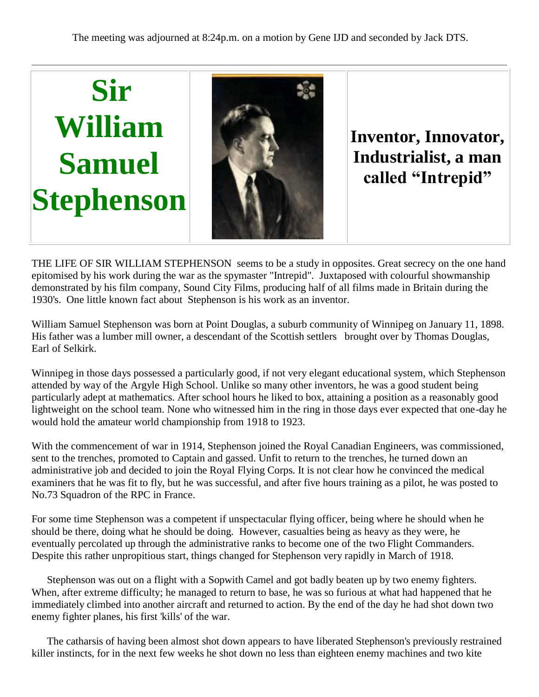

THE LIFE OF SIR WILLIAM STEPHENSON seems to be a study in opposites. Great secrecy on the one hand epitomised by his work during the war as the spymaster "Intrepid". Juxtaposed with colourful showmanship demonstrated by his film company, Sound City Films, producing half of all films made in Britain during the 1930's. One little known fact about Stephenson is his work as an inventor.

William Samuel Stephenson was born at Point Douglas, a suburb community of Winnipeg on January 11, 1898. His father was a lumber mill owner, a descendant of the Scottish settlers brought over by Thomas Douglas, Earl of Selkirk.

Winnipeg in those days possessed a particularly good, if not very elegant educational system, which Stephenson attended by way of the Argyle High School. Unlike so many other inventors, he was a good student being particularly adept at mathematics. After school hours he liked to box, attaining a position as a reasonably good lightweight on the school team. None who witnessed him in the ring in those days ever expected that one-day he would hold the amateur world championship from 1918 to 1923.

With the commencement of war in 1914, Stephenson joined the Royal Canadian Engineers, was commissioned, sent to the trenches, promoted to Captain and gassed. Unfit to return to the trenches, he turned down an administrative job and decided to join the Royal Flying Corps. It is not clear how he convinced the medical examiners that he was fit to fly, but he was successful, and after five hours training as a pilot, he was posted to No.73 Squadron of the RPC in France.

For some time Stephenson was a competent if unspectacular flying officer, being where he should when he should be there, doing what he should be doing. However, casualties being as heavy as they were, he eventually percolated up through the administrative ranks to become one of the two Flight Commanders. Despite this rather unpropitious start, things changed for Stephenson very rapidly in March of 1918.

Stephenson was out on a flight with a Sopwith Camel and got badly beaten up by two enemy fighters. When, after extreme difficulty; he managed to return to base, he was so furious at what had happened that he immediately climbed into another aircraft and returned to action. By the end of the day he had shot down two enemy fighter planes, his first 'kills' of the war.

The catharsis of having been almost shot down appears to have liberated Stephenson's previously restrained killer instincts, for in the next few weeks he shot down no less than eighteen enemy machines and two kite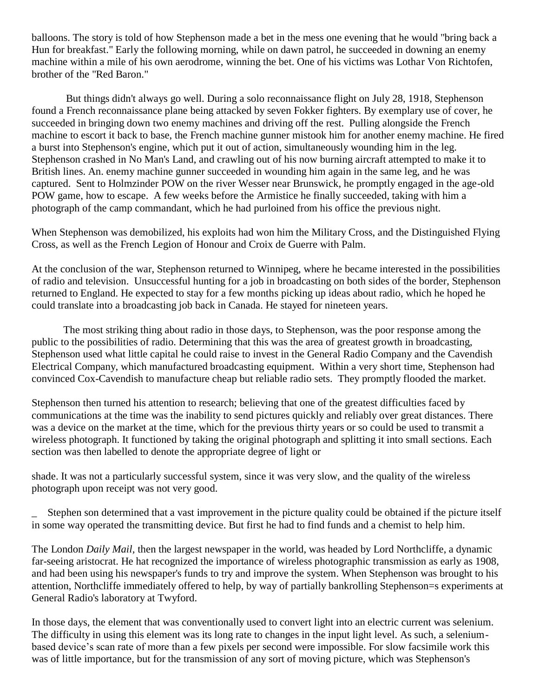balloons. The story is told of how Stephenson made a bet in the mess one evening that he would "bring back a Hun for breakfast." Early the following morning, while on dawn patrol, he succeeded in downing an enemy machine within a mile of his own aerodrome, winning the bet. One of his victims was Lothar Von Richtofen, brother of the "Red Baron."

But things didn't always go well. During a solo reconnaissance flight on July 28, 1918, Stephenson found a French reconnaissance plane being attacked by seven Fokker fighters. By exemplary use of cover, he succeeded in bringing down two enemy machines and driving off the rest. Pulling alongside the French machine to escort it back to base, the French machine gunner mistook him for another enemy machine. He fired a burst into Stephenson's engine, which put it out of action, simultaneously wounding him in the leg. Stephenson crashed in No Man's Land, and crawling out of his now burning aircraft attempted to make it to British lines. An. enemy machine gunner succeeded in wounding him again in the same leg, and he was captured. Sent to Holmzinder POW on the river Wesser near Brunswick, he promptly engaged in the age-old POW game, how to escape. A few weeks before the Armistice he finally succeeded, taking with him a photograph of the camp commandant, which he had purloined from his office the previous night.

When Stephenson was demobilized, his exploits had won him the Military Cross, and the Distinguished Flying Cross, as well as the French Legion of Honour and Croix de Guerre with Palm.

At the conclusion of the war, Stephenson returned to Winnipeg, where he became interested in the possibilities of radio and television. Unsuccessful hunting for a job in broadcasting on both sides of the border, Stephenson returned to England. He expected to stay for a few months picking up ideas about radio, which he hoped he could translate into a broadcasting job back in Canada. He stayed for nineteen years.

The most striking thing about radio in those days, to Stephenson, was the poor response among the public to the possibilities of radio. Determining that this was the area of greatest growth in broadcasting, Stephenson used what little capital he could raise to invest in the General Radio Company and the Cavendish Electrical Company, which manufactured broadcasting equipment. Within a very short time, Stephenson had convinced Cox-Cavendish to manufacture cheap but reliable radio sets. They promptly flooded the market.

Stephenson then turned his attention to research; believing that one of the greatest difficulties faced by communications at the time was the inability to send pictures quickly and reliably over great distances. There was a device on the market at the time, which for the previous thirty years or so could be used to transmit a wireless photograph. It functioned by taking the original photograph and splitting it into small sections. Each section was then labelled to denote the appropriate degree of light or

shade. It was not a particularly successful system, since it was very slow, and the quality of the wireless photograph upon receipt was not very good.

\_ Stephen son determined that a vast improvement in the picture quality could be obtained if the picture itself in some way operated the transmitting device. But first he had to find funds and a chemist to help him.

The London *Daily Mail,* then the largest newspaper in the world, was headed by Lord Northcliffe, a dynamic far-seeing aristocrat. He hat recognized the importance of wireless photographic transmission as early as 1908, and had been using his newspaper's funds to try and improve the system. When Stephenson was brought to his attention, Northcliffe immediately offered to help, by way of partially bankrolling Stephenson=s experiments at General Radio's laboratory at Twyford.

In those days, the element that was conventionally used to convert light into an electric current was selenium. The difficulty in using this element was its long rate to changes in the input light level. As such, a seleniumbased device's scan rate of more than a few pixels per second were impossible. For slow facsimile work this was of little importance, but for the transmission of any sort of moving picture, which was Stephenson's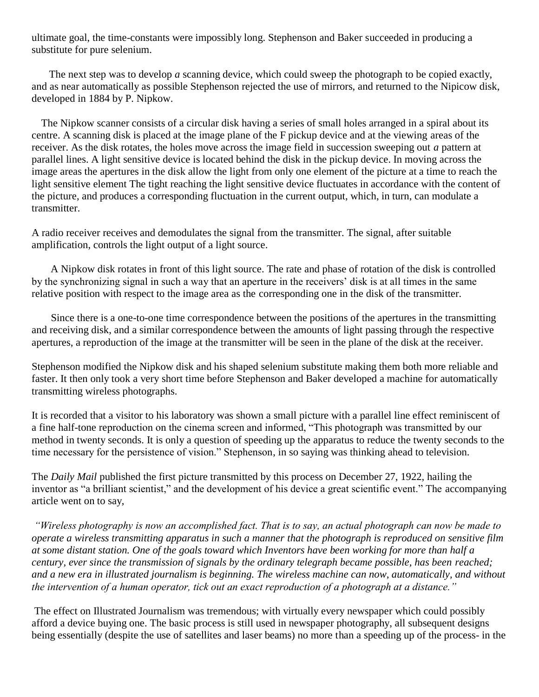ultimate goal, the time-constants were impossibly long. Stephenson and Baker succeeded in producing a substitute for pure selenium.

 The next step was to develop *a* scanning device, which could sweep the photograph to be copied exactly, and as near automatically as possible Stephenson rejected the use of mirrors, and returned to the Nipicow disk, developed in 1884 by P. Nipkow.

The Nipkow scanner consists of a circular disk having a series of small holes arranged in a spiral about its centre. A scanning disk is placed at the image plane of the F pickup device and at the viewing areas of the receiver. As the disk rotates, the holes move across the image field in succession sweeping out *a* pattern at parallel lines. A light sensitive device is located behind the disk in the pickup device. In moving across the image areas the apertures in the disk allow the light from only one element of the picture at a time to reach the light sensitive element The tight reaching the light sensitive device fluctuates in accordance with the content of the picture, and produces a corresponding fluctuation in the current output, which, in turn, can modulate a transmitter.

A radio receiver receives and demodulates the signal from the transmitter. The signal, after suitable amplification, controls the light output of a light source.

A Nipkow disk rotates in front of this light source. The rate and phase of rotation of the disk is controlled by the synchronizing signal in such a way that an aperture in the receivers' disk is at all times in the same relative position with respect to the image area as the corresponding one in the disk of the transmitter.

Since there is a one-to-one time correspondence between the positions of the apertures in the transmitting and receiving disk, and a similar correspondence between the amounts of light passing through the respective apertures, a reproduction of the image at the transmitter will be seen in the plane of the disk at the receiver.

Stephenson modified the Nipkow disk and his shaped selenium substitute making them both more reliable and faster. It then only took a very short time before Stephenson and Baker developed a machine for automatically transmitting wireless photographs.

It is recorded that a visitor to his laboratory was shown a small picture with a parallel line effect reminiscent of a fine half-tone reproduction on the cinema screen and informed, "This photograph was transmitted by our method in twenty seconds. It is only a question of speeding up the apparatus to reduce the twenty seconds to the time necessary for the persistence of vision." Stephenson, in so saying was thinking ahead to television.

The *Daily Mail* published the first picture transmitted by this process on December 27, 1922, hailing the inventor as "a brilliant scientist," and the development of his device a great scientific event." The accompanying article went on to say,

*"Wireless photography is now an accomplished fact. That is to say, an actual photograph can now be made to operate a wireless transmitting apparatus in such a manner that the photograph is reproduced on sensitive film at some distant station. One of the goals toward which Inventors have been working for more than half a century, ever since the transmission of signals by the ordinary telegraph became possible, has been reached; and a new era in illustrated journalism is beginning. The wireless machine can now, automatically, and without the intervention of a human operator, tick out an exact reproduction of a photograph at a distance."* 

The effect on Illustrated Journalism was tremendous; with virtually every newspaper which could possibly afford a device buying one. The basic process is still used in newspaper photography, all subsequent designs being essentially (despite the use of satellites and laser beams) no more than a speeding up of the process- in the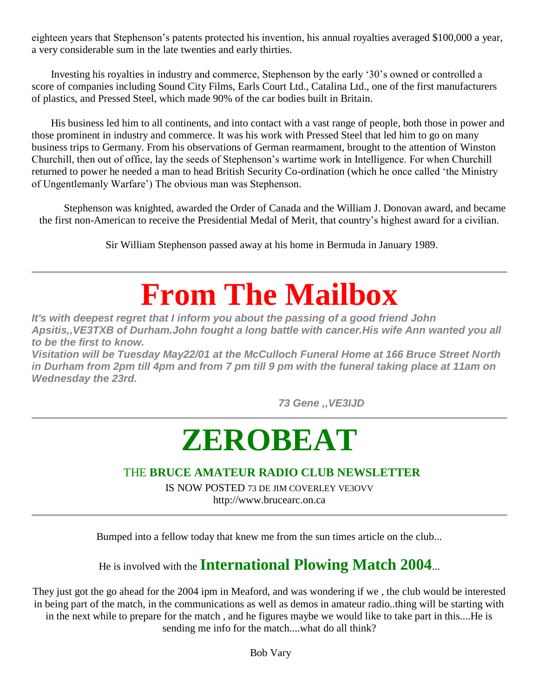eighteen years that Stephenson's patents protected his invention, his annual royalties averaged \$100,000 a year, a very considerable sum in the late twenties and early thirties.

Investing his royalties in industry and commerce, Stephenson by the early '30's owned or controlled a score of companies including Sound City Films, Earls Court Ltd., Catalina Ltd., one of the first manufacturers of plastics, and Pressed Steel, which made 90% of the car bodies built in Britain.

His business led him to all continents, and into contact with a vast range of people, both those in power and those prominent in industry and commerce. It was his work with Pressed Steel that led him to go on many business trips to Germany. From his observations of German rearmament, brought to the attention of Winston Churchill, then out of office, lay the seeds of Stephenson's wartime work in Intelligence. For when Churchill returned to power he needed a man to head British Security Co-ordination (which he once called 'the Ministry of Ungentlemanly Warfare') The obvious man was Stephenson.

Stephenson was knighted, awarded the Order of Canada and the William J. Donovan award, and became the first non-American to receive the Presidential Medal of Merit, that country's highest award for a civilian.

Sir William Stephenson passed away at his home in Bermuda in January 1989.

### **From The Mailbox**

*It's with deepest regret that I inform you about the passing of a good friend John Apsitis,,VE3TXB of Durham.John fought a long battle with cancer.His wife Ann wanted you all to be the first to know.*

*Visitation will be Tuesday May22/01 at the McCulloch Funeral Home at 166 Bruce Street North in Durham from 2pm till 4pm and from 7 pm till 9 pm with the funeral taking place at 11am on Wednesday the 23rd.*

 *73 Gene ,,VE3IJD*

## **ZEROBEAT**

#### THE **BRUCE AMATEUR RADIO CLUB NEWSLETTER**

IS NOW POSTED 73 DE JIM COVERLEY VE3OVV http://www.brucearc.on.ca

Bumped into a fellow today that knew me from the sun times article on the club...

### He is involved with the **International Plowing Match 2004**...

They just got the go ahead for the 2004 ipm in Meaford, and was wondering if we , the club would be interested in being part of the match, in the communications as well as demos in amateur radio..thing will be starting with in the next while to prepare for the match , and he figures maybe we would like to take part in this....He is sending me info for the match....what do all think?